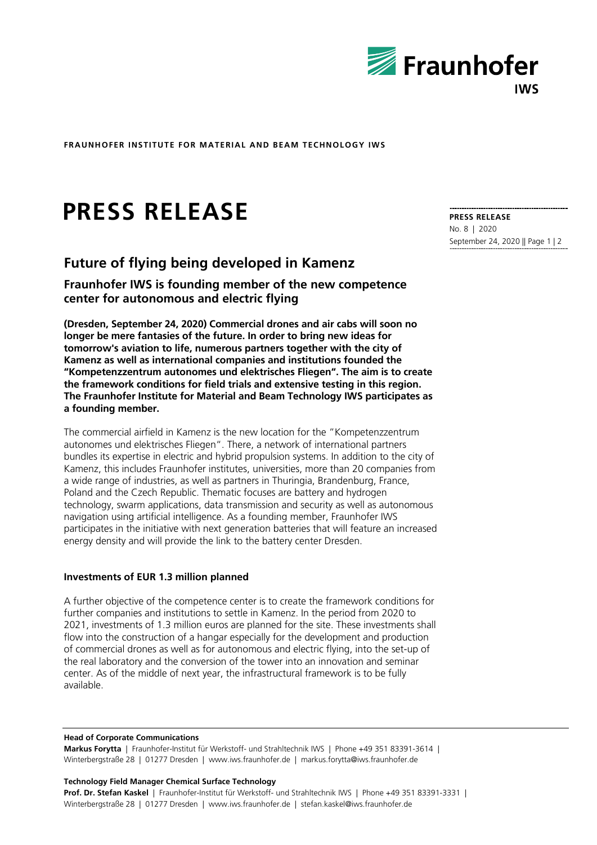

**FRAUNHOFER INSTITUTE FOR MATERIAL AND BEAM TECHNOLOGY IWS** 

# **PRESS RELEASE**

# **Future of flying being developed in Kamenz**

**Fraunhofer IWS is founding member of the new competence center for autonomous and electric flying** 

**(Dresden, September 24, 2020) Commercial drones and air cabs will soon no longer be mere fantasies of the future. In order to bring new ideas for tomorrow's aviation to life, numerous partners together with the city of Kamenz as well as international companies and institutions founded the "Kompetenzzentrum autonomes und elektrisches Fliegen". The aim is to create the framework conditions for field trials and extensive testing in this region. The Fraunhofer Institute for Material and Beam Technology IWS participates as a founding member.** 

The commercial airfield in Kamenz is the new location for the "Kompetenzzentrum autonomes und elektrisches Fliegen". There, a network of international partners bundles its expertise in electric and hybrid propulsion systems. In addition to the city of Kamenz, this includes Fraunhofer institutes, universities, more than 20 companies from a wide range of industries, as well as partners in Thuringia, Brandenburg, France, Poland and the Czech Republic. Thematic focuses are battery and hydrogen technology, swarm applications, data transmission and security as well as autonomous navigation using artificial intelligence. As a founding member, Fraunhofer IWS participates in the initiative with next generation batteries that will feature an increased energy density and will provide the link to the battery center Dresden.

# **Investments of EUR 1.3 million planned**

A further objective of the competence center is to create the framework conditions for further companies and institutions to settle in Kamenz. In the period from 2020 to 2021, investments of 1.3 million euros are planned for the site. These investments shall flow into the construction of a hangar especially for the development and production of commercial drones as well as for autonomous and electric flying, into the set-up of the real laboratory and the conversion of the tower into an innovation and seminar center. As of the middle of next year, the infrastructural framework is to be fully available.

#### **Head of Corporate Communications**

**Markus Forytta** | Fraunhofer-Institut für Werkstoff- und Strahltechnik IWS | Phone +49 351 83391-3614 | Winterbergstraße 28 | 01277 Dresden | www.iws.fraunhofer.de | markus.forytta@iws.fraunhofer.de

#### **Technology Field Manager Chemical Surface Technology**

**Prof. Dr. Stefan Kaskel** | Fraunhofer-Institut für Werkstoff- und Strahltechnik IWS | Phone +49 351 83391-3331 | Winterbergstraße 28 | 01277 Dresden | www.iws.fraunhofer.de | stefan.kaskel@iws.fraunhofer.de

**PRESS RELEASE**  No. 8 | 2020 September 24, 2020 || Page 1 | 2